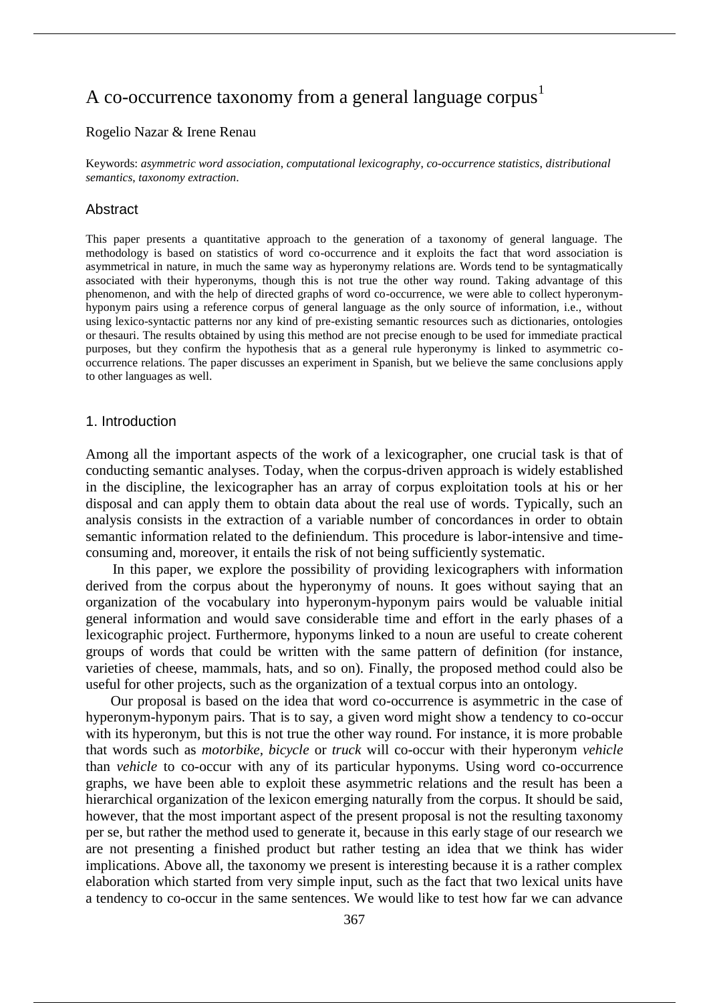# A co-occurrence taxonomy from a general language corpus<sup>1</sup>

### Rogelio Nazar & Irene Renau

Keywords: *asymmetric word association*, *computational lexicography*, *co-occurrence statistics*, *distributional semantics*, *taxonomy extraction*.

#### Abstract

This paper presents a quantitative approach to the generation of a taxonomy of general language. The methodology is based on statistics of word co-occurrence and it exploits the fact that word association is asymmetrical in nature, in much the same way as hyperonymy relations are. Words tend to be syntagmatically associated with their hyperonyms, though this is not true the other way round. Taking advantage of this phenomenon, and with the help of directed graphs of word co-occurrence, we were able to collect hyperonymhyponym pairs using a reference corpus of general language as the only source of information, i.e., without using lexico-syntactic patterns nor any kind of pre-existing semantic resources such as dictionaries, ontologies or thesauri. The results obtained by using this method are not precise enough to be used for immediate practical purposes, but they confirm the hypothesis that as a general rule hyperonymy is linked to asymmetric cooccurrence relations. The paper discusses an experiment in Spanish, but we believe the same conclusions apply to other languages as well.

#### 1. Introduction

Among all the important aspects of the work of a lexicographer, one crucial task is that of conducting semantic analyses. Today, when the corpus-driven approach is widely established in the discipline, the lexicographer has an array of corpus exploitation tools at his or her disposal and can apply them to obtain data about the real use of words. Typically, such an analysis consists in the extraction of a variable number of concordances in order to obtain semantic information related to the definiendum. This procedure is labor-intensive and timeconsuming and, moreover, it entails the risk of not being sufficiently systematic.

In this paper, we explore the possibility of providing lexicographers with information derived from the corpus about the hyperonymy of nouns. It goes without saying that an organization of the vocabulary into hyperonym-hyponym pairs would be valuable initial general information and would save considerable time and effort in the early phases of a lexicographic project. Furthermore, hyponyms linked to a noun are useful to create coherent groups of words that could be written with the same pattern of definition (for instance, varieties of cheese, mammals, hats, and so on). Finally, the proposed method could also be useful for other projects, such as the organization of a textual corpus into an ontology.

Our proposal is based on the idea that word co-occurrence is asymmetric in the case of hyperonym-hyponym pairs. That is to say, a given word might show a tendency to co-occur with its hyperonym, but this is not true the other way round. For instance, it is more probable that words such as *motorbike, bicycle* or *truck* will co-occur with their hyperonym *vehicle*  than *vehicle* to co-occur with any of its particular hyponyms. Using word co-occurrence graphs, we have been able to exploit these asymmetric relations and the result has been a hierarchical organization of the lexicon emerging naturally from the corpus. It should be said, however, that the most important aspect of the present proposal is not the resulting taxonomy per se, but rather the method used to generate it, because in this early stage of our research we are not presenting a finished product but rather testing an idea that we think has wider implications. Above all, the taxonomy we present is interesting because it is a rather complex elaboration which started from very simple input, such as the fact that two lexical units have a tendency to co-occur in the same sentences. We would like to test how far we can advance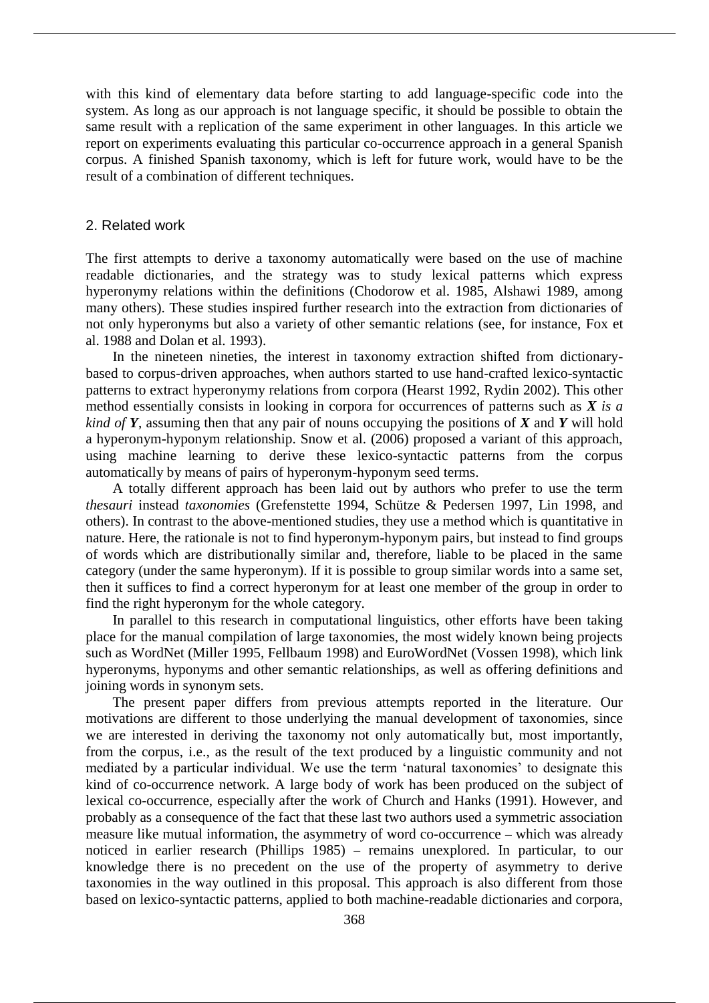with this kind of elementary data before starting to add language-specific code into the system. As long as our approach is not language specific, it should be possible to obtain the same result with a replication of the same experiment in other languages. In this article we report on experiments evaluating this particular co-occurrence approach in a general Spanish corpus. A finished Spanish taxonomy, which is left for future work, would have to be the result of a combination of different techniques.

#### 2. Related work

The first attempts to derive a taxonomy automatically were based on the use of machine readable dictionaries, and the strategy was to study lexical patterns which express hyperonymy relations within the definitions (Chodorow et al. 1985, Alshawi 1989, among many others). These studies inspired further research into the extraction from dictionaries of not only hyperonyms but also a variety of other semantic relations (see, for instance, Fox et al. 1988 and Dolan et al. 1993).

In the nineteen nineties, the interest in taxonomy extraction shifted from dictionarybased to corpus-driven approaches, when authors started to use hand-crafted lexico-syntactic patterns to extract hyperonymy relations from corpora (Hearst 1992, Rydin 2002). This other method essentially consists in looking in corpora for occurrences of patterns such as *X is a kind of Y*, assuming then that any pair of nouns occupying the positions of *X* and *Y* will hold a hyperonym-hyponym relationship. Snow et al. (2006) proposed a variant of this approach, using machine learning to derive these lexico-syntactic patterns from the corpus automatically by means of pairs of hyperonym-hyponym seed terms.

A totally different approach has been laid out by authors who prefer to use the term *thesauri* instead *taxonomies* (Grefenstette 1994, Schütze & Pedersen 1997, Lin 1998, and others). In contrast to the above-mentioned studies, they use a method which is quantitative in nature. Here, the rationale is not to find hyperonym-hyponym pairs, but instead to find groups of words which are distributionally similar and, therefore, liable to be placed in the same category (under the same hyperonym). If it is possible to group similar words into a same set, then it suffices to find a correct hyperonym for at least one member of the group in order to find the right hyperonym for the whole category.

In parallel to this research in computational linguistics, other efforts have been taking place for the manual compilation of large taxonomies, the most widely known being projects such as WordNet (Miller 1995, Fellbaum 1998) and EuroWordNet (Vossen 1998), which link hyperonyms, hyponyms and other semantic relationships, as well as offering definitions and joining words in synonym sets.

The present paper differs from previous attempts reported in the literature. Our motivations are different to those underlying the manual development of taxonomies, since we are interested in deriving the taxonomy not only automatically but, most importantly, from the corpus, i.e., as the result of the text produced by a linguistic community and not mediated by a particular individual. We use the term 'natural taxonomies' to designate this kind of co-occurrence network. A large body of work has been produced on the subject of lexical co-occurrence, especially after the work of Church and Hanks (1991). However, and probably as a consequence of the fact that these last two authors used a symmetric association measure like mutual information, the asymmetry of word co-occurrence – which was already noticed in earlier research (Phillips 1985) – remains unexplored. In particular, to our knowledge there is no precedent on the use of the property of asymmetry to derive taxonomies in the way outlined in this proposal. This approach is also different from those based on lexico-syntactic patterns, applied to both machine-readable dictionaries and corpora,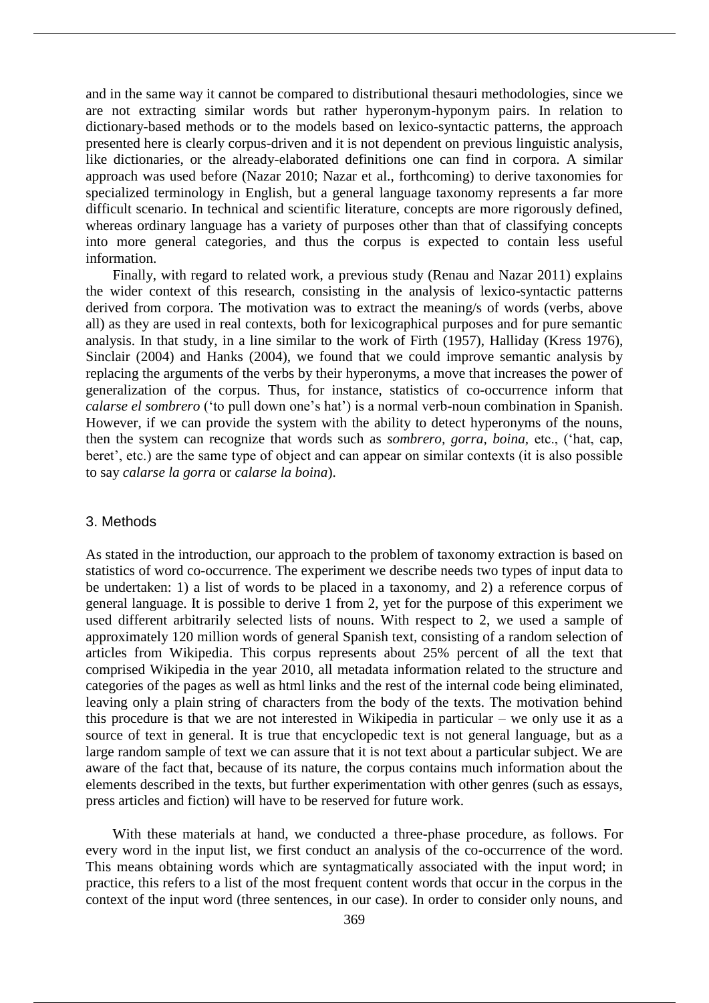and in the same way it cannot be compared to distributional thesauri methodologies, since we are not extracting similar words but rather hyperonym-hyponym pairs. In relation to dictionary-based methods or to the models based on lexico-syntactic patterns, the approach presented here is clearly corpus-driven and it is not dependent on previous linguistic analysis, like dictionaries, or the already-elaborated definitions one can find in corpora. A similar approach was used before (Nazar 2010; Nazar et al., forthcoming) to derive taxonomies for specialized terminology in English, but a general language taxonomy represents a far more difficult scenario. In technical and scientific literature, concepts are more rigorously defined, whereas ordinary language has a variety of purposes other than that of classifying concepts into more general categories, and thus the corpus is expected to contain less useful information.

Finally, with regard to related work, a previous study (Renau and Nazar 2011) explains the wider context of this research, consisting in the analysis of lexico-syntactic patterns derived from corpora. The motivation was to extract the meaning/s of words (verbs, above all) as they are used in real contexts, both for lexicographical purposes and for pure semantic analysis. In that study, in a line similar to the work of Firth (1957), Halliday (Kress 1976), Sinclair (2004) and Hanks (2004), we found that we could improve semantic analysis by replacing the arguments of the verbs by their hyperonyms, a move that increases the power of generalization of the corpus. Thus, for instance, statistics of co-occurrence inform that *calarse el sombrero* ('to pull down one's hat') is a normal verb-noun combination in Spanish. However, if we can provide the system with the ability to detect hyperonyms of the nouns, then the system can recognize that words such as *sombrero, gorra, boina,* etc., ('hat, cap, beret', etc.) are the same type of object and can appear on similar contexts (it is also possible to say *calarse la gorra* or *calarse la boina*).

#### 3. Methods

As stated in the introduction, our approach to the problem of taxonomy extraction is based on statistics of word co-occurrence. The experiment we describe needs two types of input data to be undertaken: 1) a list of words to be placed in a taxonomy, and 2) a reference corpus of general language. It is possible to derive 1 from 2, yet for the purpose of this experiment we used different arbitrarily selected lists of nouns. With respect to 2, we used a sample of approximately 120 million words of general Spanish text, consisting of a random selection of articles from Wikipedia. This corpus represents about 25% percent of all the text that comprised Wikipedia in the year 2010, all metadata information related to the structure and categories of the pages as well as html links and the rest of the internal code being eliminated, leaving only a plain string of characters from the body of the texts. The motivation behind this procedure is that we are not interested in Wikipedia in particular – we only use it as a source of text in general. It is true that encyclopedic text is not general language, but as a large random sample of text we can assure that it is not text about a particular subject. We are aware of the fact that, because of its nature, the corpus contains much information about the elements described in the texts, but further experimentation with other genres (such as essays, press articles and fiction) will have to be reserved for future work.

With these materials at hand, we conducted a three-phase procedure, as follows. For every word in the input list, we first conduct an analysis of the co-occurrence of the word. This means obtaining words which are syntagmatically associated with the input word; in practice, this refers to a list of the most frequent content words that occur in the corpus in the context of the input word (three sentences, in our case). In order to consider only nouns, and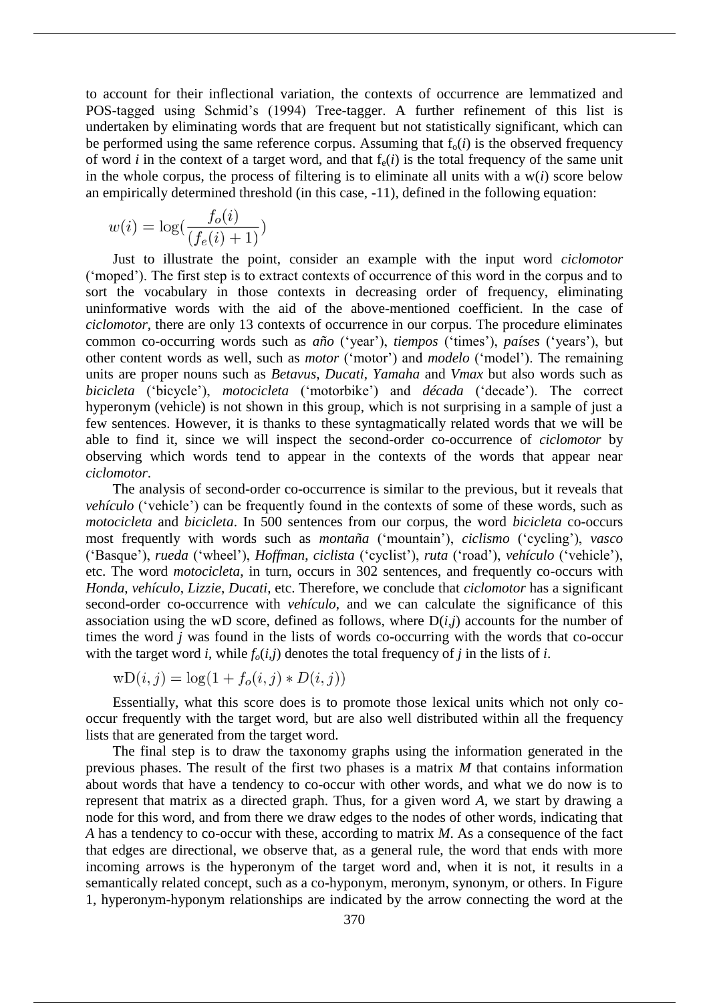to account for their inflectional variation, the contexts of occurrence are lemmatized and POS-tagged using Schmid's (1994) Tree-tagger. A further refinement of this list is undertaken by eliminating words that are frequent but not statistically significant, which can be performed using the same reference corpus. Assuming that  $f_0(i)$  is the observed frequency of word *i* in the context of a target word, and that  $f_e(i)$  is the total frequency of the same unit in the whole corpus, the process of filtering is to eliminate all units with a  $w(i)$  score below an empirically determined threshold (in this case, -11), defined in the following equation:

$$
w(i) = \log(\frac{f_o(i)}{(f_e(i) + 1)})
$$

Just to illustrate the point, consider an example with the input word *ciclomotor* ('moped'). The first step is to extract contexts of occurrence of this word in the corpus and to sort the vocabulary in those contexts in decreasing order of frequency, eliminating uninformative words with the aid of the above-mentioned coefficient. In the case of *ciclomotor*, there are only 13 contexts of occurrence in our corpus. The procedure eliminates common co-occurring words such as *año* ('year'), *tiempos* ('times'), *países* ('years'), but other content words as well, such as *motor* ('motor') and *modelo* ('model'). The remaining units are proper nouns such as *Betavus*, *Ducati*, *Yamaha* and *Vmax* but also words such as *bicicleta* ('bicycle'), *motocicleta* ('motorbike') and *década* ('decade'). The correct hyperonym (vehicle) is not shown in this group, which is not surprising in a sample of just a few sentences. However, it is thanks to these syntagmatically related words that we will be able to find it, since we will inspect the second-order co-occurrence of *ciclomotor* by observing which words tend to appear in the contexts of the words that appear near *ciclomotor*.

The analysis of second-order co-occurrence is similar to the previous, but it reveals that *vehículo* ('vehicle') can be frequently found in the contexts of some of these words, such as *motocicleta* and *bicicleta*. In 500 sentences from our corpus, the word *bicicleta* co-occurs most frequently with words such as *montaña* ('mountain'), *ciclismo* ('cycling'), *vasco* ('Basque'), *rueda* ('wheel'), *Hoffman*, *ciclista* ('cyclist'), *ruta* ('road'), *vehículo* ('vehicle'), etc. The word *motocicleta*, in turn, occurs in 302 sentences, and frequently co-occurs with *Honda*, *vehículo*, *Lizzie*, *Ducati*, etc. Therefore, we conclude that *ciclomotor* has a significant second-order co-occurrence with *vehículo*, and we can calculate the significance of this association using the wD score, defined as follows, where  $D(i,j)$  accounts for the number of times the word *j* was found in the lists of words co-occurring with the words that co-occur with the target word *i*, while  $f_o(i,j)$  denotes the total frequency of *j* in the lists of *i*.

$$
wD(i, j) = log(1 + fo(i, j) * D(i, j))
$$

Essentially, what this score does is to promote those lexical units which not only cooccur frequently with the target word, but are also well distributed within all the frequency lists that are generated from the target word.

The final step is to draw the taxonomy graphs using the information generated in the previous phases. The result of the first two phases is a matrix *M* that contains information about words that have a tendency to co-occur with other words, and what we do now is to represent that matrix as a directed graph. Thus, for a given word *A*, we start by drawing a node for this word, and from there we draw edges to the nodes of other words, indicating that *A* has a tendency to co-occur with these, according to matrix *M*. As a consequence of the fact that edges are directional, we observe that, as a general rule, the word that ends with more incoming arrows is the hyperonym of the target word and, when it is not, it results in a semantically related concept, such as a co-hyponym, meronym, synonym, or others. In Figure 1, hyperonym-hyponym relationships are indicated by the arrow connecting the word at the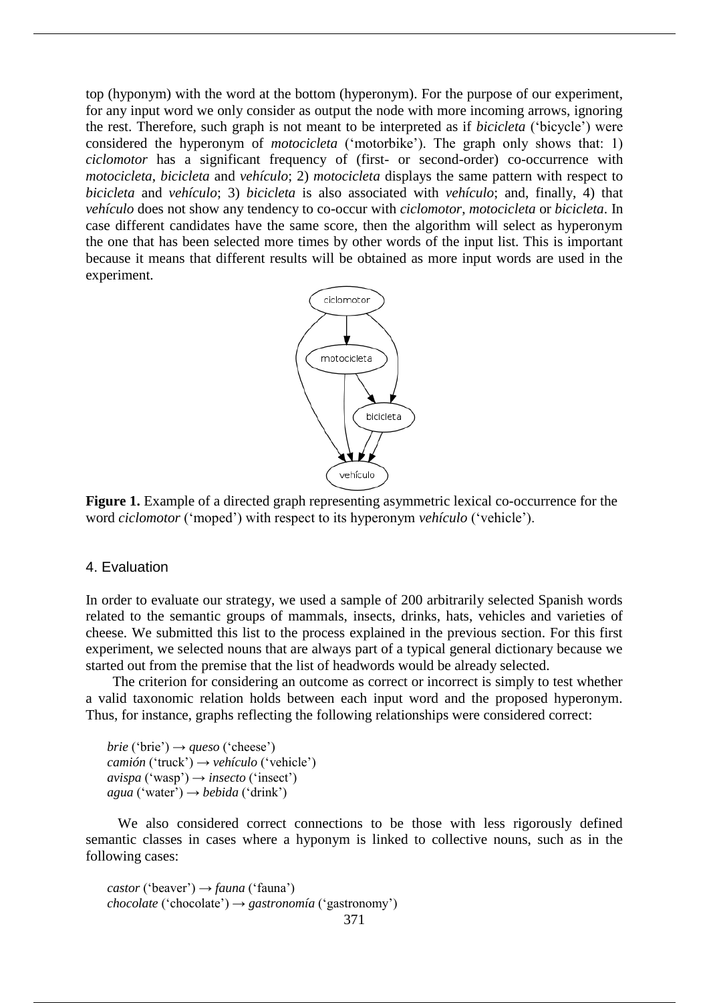top (hyponym) with the word at the bottom (hyperonym). For the purpose of our experiment, for any input word we only consider as output the node with more incoming arrows, ignoring the rest. Therefore, such graph is not meant to be interpreted as if *bicicleta* ('bicycle') were considered the hyperonym of *motocicleta* ('motorbike'). The graph only shows that: 1) *ciclomotor* has a significant frequency of (first- or second-order) co-occurrence with *motocicleta*, *bicicleta* and *vehículo*; 2) *motocicleta* displays the same pattern with respect to *bicicleta* and *vehículo*; 3) *bicicleta* is also associated with *vehículo*; and, finally, 4) that *vehículo* does not show any tendency to co-occur with *ciclomotor*, *motocicleta* or *bicicleta*. In case different candidates have the same score, then the algorithm will select as hyperonym the one that has been selected more times by other words of the input list. This is important because it means that different results will be obtained as more input words are used in the experiment.



Figure 1. Example of a directed graph representing asymmetric lexical co-occurrence for the word *ciclomotor* ('moped') with respect to its hyperonym *vehículo* ('vehicle').

## 4. Evaluation

In order to evaluate our strategy, we used a sample of 200 arbitrarily selected Spanish words related to the semantic groups of mammals, insects, drinks, hats, vehicles and varieties of cheese. We submitted this list to the process explained in the previous section. For this first experiment, we selected nouns that are always part of a typical general dictionary because we started out from the premise that the list of headwords would be already selected.

The criterion for considering an outcome as correct or incorrect is simply to test whether a valid taxonomic relation holds between each input word and the proposed hyperonym. Thus, for instance, graphs reflecting the following relationships were considered correct:

 $brie$  ('brie')  $\rightarrow$  *queso* ('cheese') *camión* ('truck') → *vehículo* ('vehicle')  $avispa('wasp') \rightarrow insecto('insect')$ *agua* ('water') → *bebida* ('drink')

We also considered correct connections to be those with less rigorously defined semantic classes in cases where a hyponym is linked to collective nouns, such as in the following cases:

*castor* ('beaver') → *fauna* ('fauna') *chocolate* ('chocolate') → *gastronomía* ('gastronomy')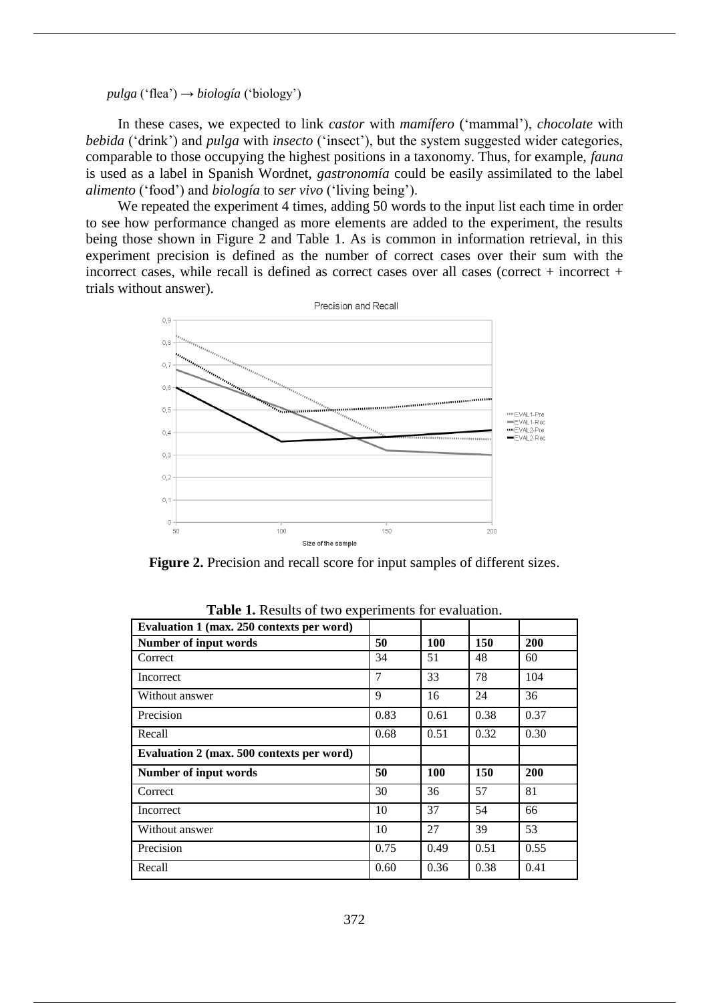*pulga* ('flea') → *biología* ('biology')

In these cases, we expected to link *castor* with *mamífero* ('mammal'), *chocolate* with *bebida* ('drink') and *pulga* with *insecto* ('insect'), but the system suggested wider categories, comparable to those occupying the highest positions in a taxonomy. Thus, for example, *fauna* is used as a label in Spanish Wordnet, *gastronomía* could be easily assimilated to the label *alimento* ('food') and *biología* to *ser vivo* ('living being').

We repeated the experiment 4 times, adding 50 words to the input list each time in order to see how performance changed as more elements are added to the experiment, the results being those shown in Figure 2 and Table 1. As is common in information retrieval, in this experiment precision is defined as the number of correct cases over their sum with the incorrect cases, while recall is defined as correct cases over all cases (correct + incorrect + trials without answer).



**Figure 2.** Precision and recall score for input samples of different sizes.

| Evaluation 1 (max. 250 contexts per word) |      |      |      |            |
|-------------------------------------------|------|------|------|------------|
| <b>Number of input words</b>              | 50   | 100  | 150  | <b>200</b> |
| Correct                                   | 34   | 51   | 48   | 60         |
| <b>Incorrect</b>                          | 7    | 33   | 78   | 104        |
| Without answer                            | 9    | 16   | 24   | 36         |
| Precision                                 | 0.83 | 0.61 | 0.38 | 0.37       |
| Recall                                    | 0.68 | 0.51 | 0.32 | 0.30       |
| Evaluation 2 (max. 500 contexts per word) |      |      |      |            |
| <b>Number of input words</b>              | 50   | 100  | 150  | 200        |
| Correct                                   | 30   | 36   | 57   | 81         |
| Incorrect                                 | 10   | 37   | 54   | 66         |
| Without answer                            | 10   | 27   | 39   | 53         |
| Precision                                 | 0.75 | 0.49 | 0.51 | 0.55       |
|                                           |      |      |      |            |

**Table 1.** Results of two experiments for evaluation.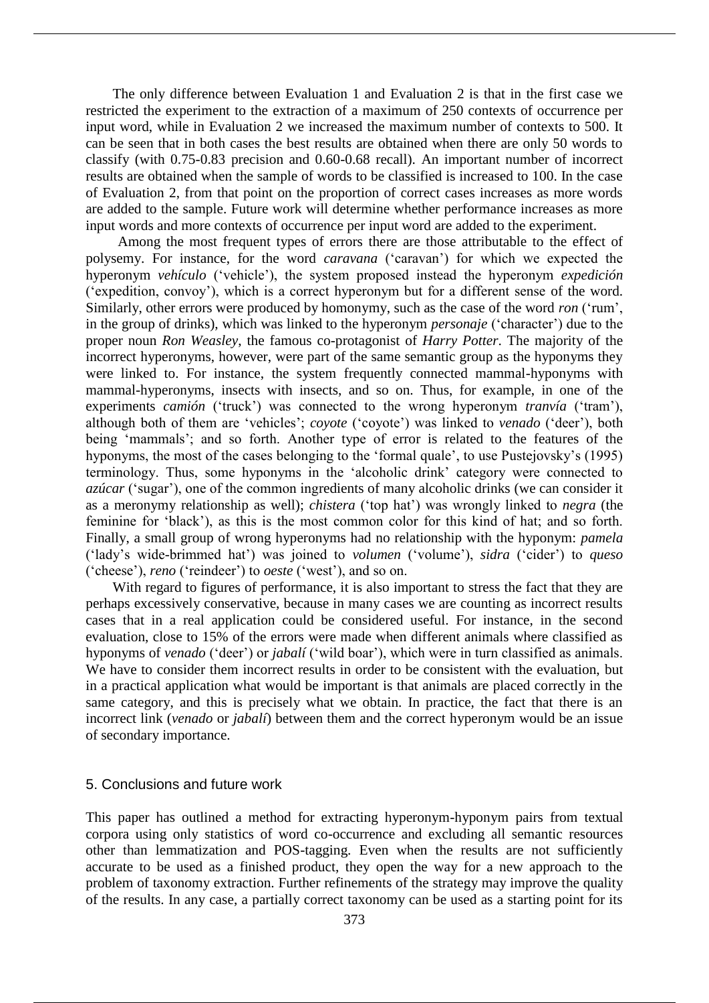The only difference between Evaluation 1 and Evaluation 2 is that in the first case we restricted the experiment to the extraction of a maximum of 250 contexts of occurrence per input word, while in Evaluation 2 we increased the maximum number of contexts to 500. It can be seen that in both cases the best results are obtained when there are only 50 words to classify (with 0.75-0.83 precision and 0.60-0.68 recall). An important number of incorrect results are obtained when the sample of words to be classified is increased to 100. In the case of Evaluation 2, from that point on the proportion of correct cases increases as more words are added to the sample. Future work will determine whether performance increases as more input words and more contexts of occurrence per input word are added to the experiment.

Among the most frequent types of errors there are those attributable to the effect of polysemy. For instance, for the word *caravana* ('caravan') for which we expected the hyperonym *vehículo* ('vehicle'), the system proposed instead the hyperonym *expedición*  ('expedition, convoy'), which is a correct hyperonym but for a different sense of the word. Similarly, other errors were produced by homonymy, such as the case of the word *ron* ('rum', in the group of drinks), which was linked to the hyperonym *personaje* ('character') due to the proper noun *Ron Weasley*, the famous co-protagonist of *Harry Potter*. The majority of the incorrect hyperonyms, however, were part of the same semantic group as the hyponyms they were linked to. For instance, the system frequently connected mammal-hyponyms with mammal-hyperonyms, insects with insects, and so on. Thus, for example, in one of the experiments *camión* ('truck') was connected to the wrong hyperonym *tranvía* ('tram'), although both of them are 'vehicles'; *coyote* ('coyote') was linked to *venado* ('deer'), both being 'mammals'; and so forth. Another type of error is related to the features of the hyponyms, the most of the cases belonging to the 'formal quale', to use Pustejovsky's (1995) terminology. Thus, some hyponyms in the 'alcoholic drink' category were connected to *azúcar* ('sugar'), one of the common ingredients of many alcoholic drinks (we can consider it as a meronymy relationship as well); *chistera* ('top hat') was wrongly linked to *negra* (the feminine for 'black'), as this is the most common color for this kind of hat; and so forth. Finally, a small group of wrong hyperonyms had no relationship with the hyponym: *pamela* ('lady's wide-brimmed hat') was joined to *volumen* ('volume'), *sidra* ('cider') to *queso*  ('cheese'), *reno* ('reindeer') to *oeste* ('west'), and so on.

With regard to figures of performance, it is also important to stress the fact that they are perhaps excessively conservative, because in many cases we are counting as incorrect results cases that in a real application could be considered useful. For instance, in the second evaluation, close to 15% of the errors were made when different animals where classified as hyponyms of *venado* ('deer') or *jabalí* ('wild boar'), which were in turn classified as animals. We have to consider them incorrect results in order to be consistent with the evaluation, but in a practical application what would be important is that animals are placed correctly in the same category, and this is precisely what we obtain. In practice, the fact that there is an incorrect link (*venado* or *jabalí*) between them and the correct hyperonym would be an issue of secondary importance.

#### 5. Conclusions and future work

This paper has outlined a method for extracting hyperonym-hyponym pairs from textual corpora using only statistics of word co-occurrence and excluding all semantic resources other than lemmatization and POS-tagging. Even when the results are not sufficiently accurate to be used as a finished product, they open the way for a new approach to the problem of taxonomy extraction. Further refinements of the strategy may improve the quality of the results. In any case, a partially correct taxonomy can be used as a starting point for its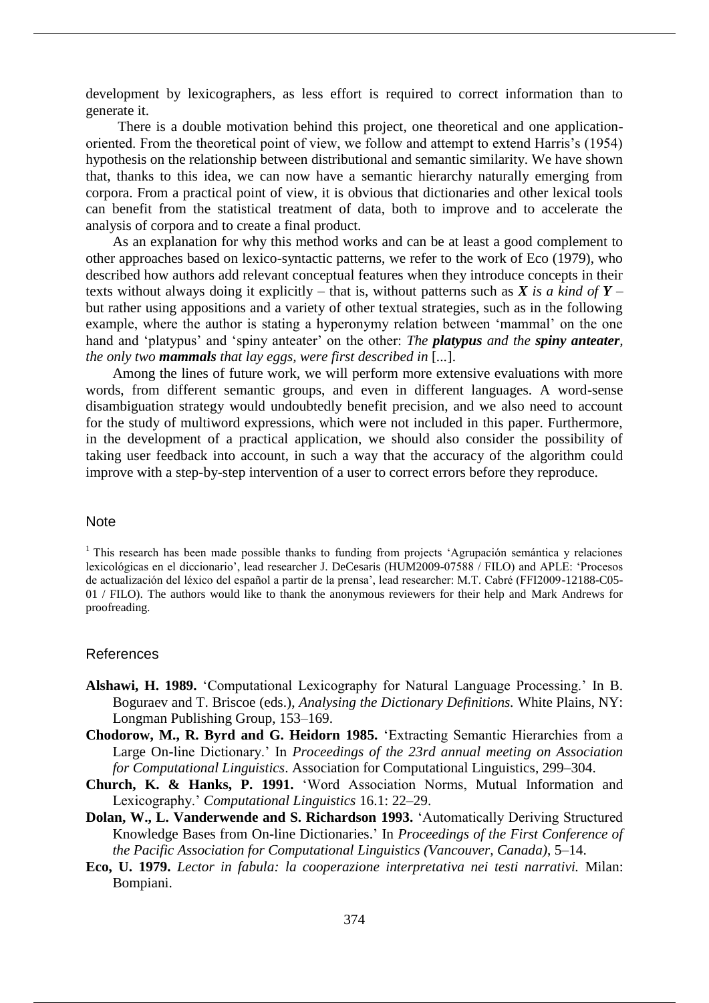development by lexicographers, as less effort is required to correct information than to generate it.

There is a double motivation behind this project, one theoretical and one applicationoriented. From the theoretical point of view, we follow and attempt to extend Harris's (1954) hypothesis on the relationship between distributional and semantic similarity. We have shown that, thanks to this idea, we can now have a semantic hierarchy naturally emerging from corpora. From a practical point of view, it is obvious that dictionaries and other lexical tools can benefit from the statistical treatment of data, both to improve and to accelerate the analysis of corpora and to create a final product.

As an explanation for why this method works and can be at least a good complement to other approaches based on lexico-syntactic patterns, we refer to the work of Eco (1979), who described how authors add relevant conceptual features when they introduce concepts in their texts without always doing it explicitly – that is, without patterns such as *X is a kind of Y* – but rather using appositions and a variety of other textual strategies, such as in the following example, where the author is stating a hyperonymy relation between 'mammal' on the one hand and 'platypus' and 'spiny anteater' on the other: *The platypus and the spiny anteater, the only two mammals that lay eggs, were first described in* [*...*].

Among the lines of future work, we will perform more extensive evaluations with more words, from different semantic groups, and even in different languages. A word-sense disambiguation strategy would undoubtedly benefit precision, and we also need to account for the study of multiword expressions, which were not included in this paper. Furthermore, in the development of a practical application, we should also consider the possibility of taking user feedback into account, in such a way that the accuracy of the algorithm could improve with a step-by-step intervention of a user to correct errors before they reproduce.

### **Note**

<sup>1</sup> This research has been made possible thanks to funding from projects 'Agrupación semántica y relaciones lexicológicas en el diccionario', lead researcher J. DeCesaris (HUM2009-07588 / FILO) and APLE: 'Procesos de actualización del léxico del español a partir de la prensa', lead researcher: M.T. Cabré (FFI2009-12188-C05- 01 / FILO). The authors would like to thank the anonymous reviewers for their help and Mark Andrews for proofreading.

#### References

- **Alshawi, H. 1989.** 'Computational Lexicography for Natural Language Processing.' In B. Boguraev and T. Briscoe (eds.), *Analysing the Dictionary Definitions.* White Plains, NY: Longman Publishing Group, 153–169.
- **Chodorow, M., R. Byrd and G. Heidorn 1985.** 'Extracting Semantic Hierarchies from a Large On-line Dictionary.' In *Proceedings of the 23rd annual meeting on Association for Computational Linguistics*. Association for Computational Linguistics, 299–304.
- **Church, K. & Hanks, P. 1991.** 'Word Association Norms, Mutual Information and Lexicography.' *Computational Linguistics* 16.1: 22–29.
- **Dolan, W., L. Vanderwende and S. Richardson 1993.** 'Automatically Deriving Structured Knowledge Bases from On-line Dictionaries.' In *Proceedings of the First Conference of the Pacific Association for Computational Linguistics (Vancouver, Canada)*, 5–14.
- **Eco, U. 1979.** *Lector in fabula: la cooperazione interpretativa nei testi narrativi.* Milan: Bompiani.